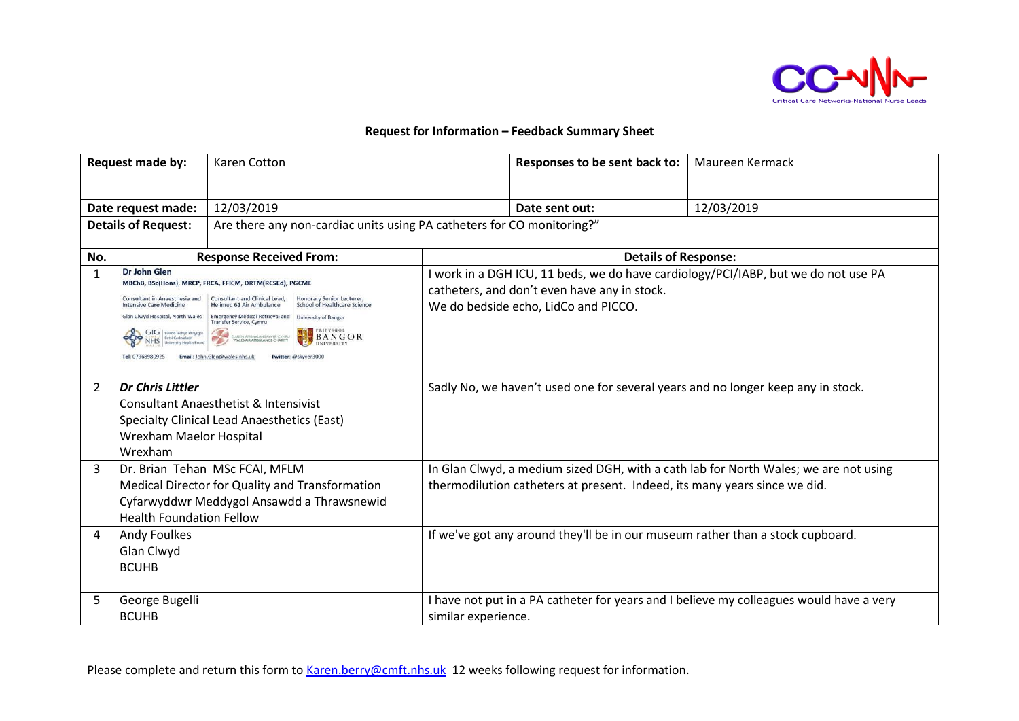

## **Request for Information – Feedback Summary Sheet**

| <b>Request made by:</b>                          |                                                                                                                                                                                                                             | <b>Karen Cotton</b>                                                                                                                                                                                                                                                                                                                                                    |                                                                                                                                                                   | Responses to be sent back to:                                                        | Maureen Kermack                                                                         |
|--------------------------------------------------|-----------------------------------------------------------------------------------------------------------------------------------------------------------------------------------------------------------------------------|------------------------------------------------------------------------------------------------------------------------------------------------------------------------------------------------------------------------------------------------------------------------------------------------------------------------------------------------------------------------|-------------------------------------------------------------------------------------------------------------------------------------------------------------------|--------------------------------------------------------------------------------------|-----------------------------------------------------------------------------------------|
| Date request made:<br><b>Details of Request:</b> |                                                                                                                                                                                                                             | 12/03/2019<br>Are there any non-cardiac units using PA catheters for CO monitoring?"                                                                                                                                                                                                                                                                                   |                                                                                                                                                                   | Date sent out:                                                                       | 12/03/2019                                                                              |
| No.                                              |                                                                                                                                                                                                                             | <b>Response Received From:</b>                                                                                                                                                                                                                                                                                                                                         |                                                                                                                                                                   | <b>Details of Response:</b>                                                          |                                                                                         |
| $\mathbf{1}$                                     | Dr John Glen<br>Consultant in Anaesthesia and<br><b>Intensive Care Medicine</b><br>Glan Clwyd Hospital, North Wales<br>GIG   Swedd lechyd Prifysgol<br>Betsi Cadwaladr<br>NHS   University Health Board<br>Tel: 07968980925 | MBChB, BSc(Hons), MRCP, FRCA, FFICM, DRTM(RCSEd), PGCME<br>Consultant and Clinical Lead,<br>Honorary Senior Lecturer,<br>School of Healthcare Science<br><b>Helimed 61 Air Ambulance</b><br><b>Emergency Medical Retrieval and</b><br>University of Bangor<br>Transfer Service, Cymru<br><b>BANGOR</b><br>ELUSEN, AMBIVALANS AWYR CYMRU<br>WALES AIR AMBULANCE CHARITY |                                                                                                                                                                   | catheters, and don't even have any in stock.<br>We do bedside echo, LidCo and PICCO. | work in a DGH ICU, 11 beds, we do have cardiology/PCI/IABP, but we do not use PA        |
| $\overline{2}$                                   | <b>Dr Chris Littler</b><br>Wrexham Maelor Hospital<br>Wrexham                                                                                                                                                               | <b>Consultant Anaesthetist &amp; Intensivist</b><br><b>Specialty Clinical Lead Anaesthetics (East)</b>                                                                                                                                                                                                                                                                 |                                                                                                                                                                   |                                                                                      | Sadly No, we haven't used one for several years and no longer keep any in stock.        |
| 3                                                | Dr. Brian Tehan MSc FCAI, MFLM<br>Medical Director for Quality and Transformation<br>Cyfarwyddwr Meddygol Ansawdd a Thrawsnewid<br><b>Health Foundation Fellow</b>                                                          |                                                                                                                                                                                                                                                                                                                                                                        | In Glan Clwyd, a medium sized DGH, with a cath lab for North Wales; we are not using<br>thermodilution catheters at present. Indeed, its many years since we did. |                                                                                      |                                                                                         |
| 4                                                | <b>Andy Foulkes</b><br>Glan Clwyd<br><b>BCUHB</b>                                                                                                                                                                           |                                                                                                                                                                                                                                                                                                                                                                        |                                                                                                                                                                   | If we've got any around they'll be in our museum rather than a stock cupboard.       |                                                                                         |
| 5                                                | George Bugelli<br><b>BCUHB</b>                                                                                                                                                                                              |                                                                                                                                                                                                                                                                                                                                                                        | similar experience.                                                                                                                                               |                                                                                      | I have not put in a PA catheter for years and I believe my colleagues would have a very |

Please complete and return this form to [Karen.berry@cmft.nhs.uk](mailto:Karen.berry@cmft.nhs.uk) 12 weeks following request for information.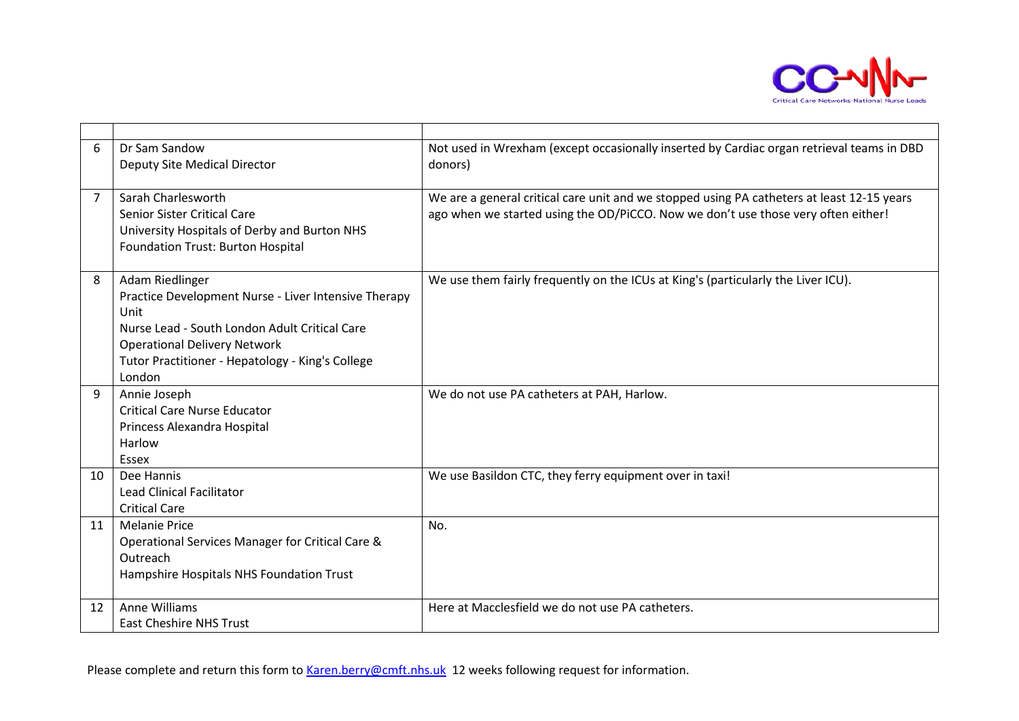

| 6              | Dr Sam Sandow                                         | Not used in Wrexham (except occasionally inserted by Cardiac organ retrieval teams in DBD  |
|----------------|-------------------------------------------------------|--------------------------------------------------------------------------------------------|
|                | Deputy Site Medical Director                          | donors)                                                                                    |
|                |                                                       |                                                                                            |
| $\overline{7}$ | Sarah Charlesworth                                    | We are a general critical care unit and we stopped using PA catheters at least 12-15 years |
|                | Senior Sister Critical Care                           | ago when we started using the OD/PiCCO. Now we don't use those very often either!          |
|                | University Hospitals of Derby and Burton NHS          |                                                                                            |
|                | Foundation Trust: Burton Hospital                     |                                                                                            |
|                |                                                       |                                                                                            |
| 8              | Adam Riedlinger                                       | We use them fairly frequently on the ICUs at King's (particularly the Liver ICU).          |
|                | Practice Development Nurse - Liver Intensive Therapy  |                                                                                            |
|                | Unit<br>Nurse Lead - South London Adult Critical Care |                                                                                            |
|                | <b>Operational Delivery Network</b>                   |                                                                                            |
|                | Tutor Practitioner - Hepatology - King's College      |                                                                                            |
|                | London                                                |                                                                                            |
| 9              | Annie Joseph                                          | We do not use PA catheters at PAH, Harlow.                                                 |
|                | <b>Critical Care Nurse Educator</b>                   |                                                                                            |
|                | Princess Alexandra Hospital                           |                                                                                            |
|                | Harlow                                                |                                                                                            |
|                | Essex                                                 |                                                                                            |
| 10             | Dee Hannis                                            | We use Basildon CTC, they ferry equipment over in taxi!                                    |
|                | <b>Lead Clinical Facilitator</b>                      |                                                                                            |
|                | <b>Critical Care</b>                                  |                                                                                            |
| 11             | <b>Melanie Price</b>                                  | No.                                                                                        |
|                | Operational Services Manager for Critical Care &      |                                                                                            |
|                | Outreach                                              |                                                                                            |
|                | Hampshire Hospitals NHS Foundation Trust              |                                                                                            |
|                |                                                       |                                                                                            |
| 12             | Anne Williams                                         | Here at Macclesfield we do not use PA catheters.                                           |
|                | <b>East Cheshire NHS Trust</b>                        |                                                                                            |

Please complete and return this form to [Karen.berry@cmft.nhs.uk](mailto:Karen.berry@cmft.nhs.uk) 12 weeks following request for information.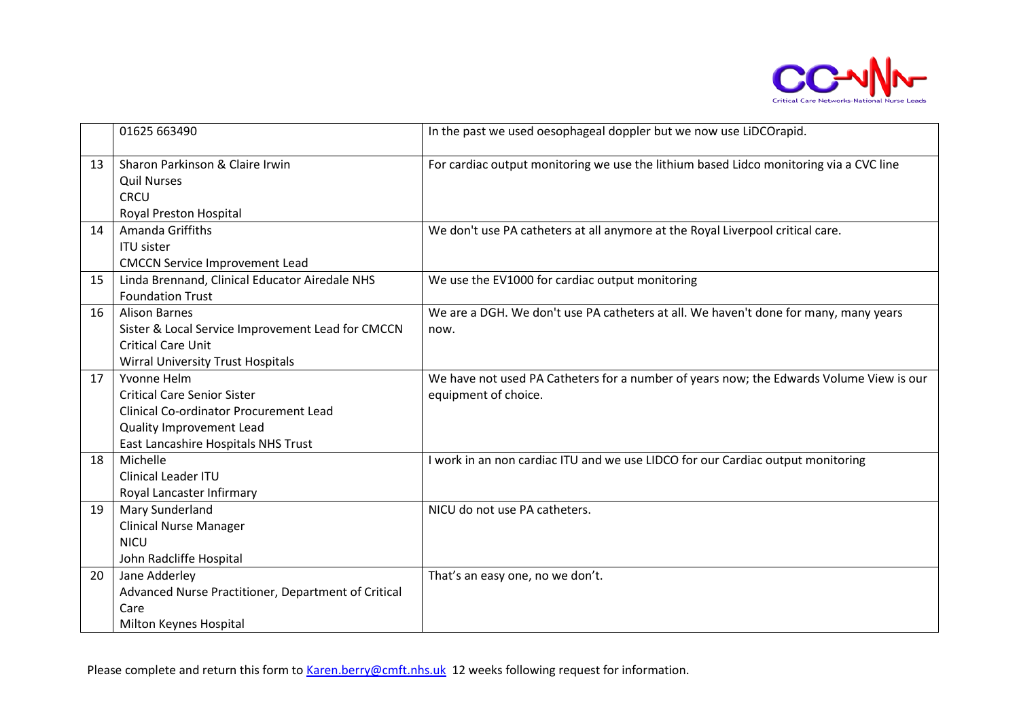

|    | 01625 663490                                                                                                                                                          | In the past we used oesophageal doppler but we now use LiDCOrapid.                                              |
|----|-----------------------------------------------------------------------------------------------------------------------------------------------------------------------|-----------------------------------------------------------------------------------------------------------------|
| 13 | Sharon Parkinson & Claire Irwin<br><b>Quil Nurses</b><br><b>CRCU</b><br>Royal Preston Hospital                                                                        | For cardiac output monitoring we use the lithium based Lidco monitoring via a CVC line                          |
| 14 | Amanda Griffiths<br><b>ITU sister</b><br><b>CMCCN Service Improvement Lead</b>                                                                                        | We don't use PA catheters at all anymore at the Royal Liverpool critical care.                                  |
| 15 | Linda Brennand, Clinical Educator Airedale NHS<br><b>Foundation Trust</b>                                                                                             | We use the EV1000 for cardiac output monitoring                                                                 |
| 16 | <b>Alison Barnes</b><br>Sister & Local Service Improvement Lead for CMCCN<br><b>Critical Care Unit</b><br><b>Wirral University Trust Hospitals</b>                    | We are a DGH. We don't use PA catheters at all. We haven't done for many, many years<br>now.                    |
| 17 | Yvonne Helm<br><b>Critical Care Senior Sister</b><br><b>Clinical Co-ordinator Procurement Lead</b><br>Quality Improvement Lead<br>East Lancashire Hospitals NHS Trust | We have not used PA Catheters for a number of years now; the Edwards Volume View is our<br>equipment of choice. |
| 18 | Michelle<br><b>Clinical Leader ITU</b><br>Royal Lancaster Infirmary                                                                                                   | I work in an non cardiac ITU and we use LIDCO for our Cardiac output monitoring                                 |
| 19 | Mary Sunderland<br><b>Clinical Nurse Manager</b><br><b>NICU</b><br>John Radcliffe Hospital                                                                            | NICU do not use PA catheters.                                                                                   |
| 20 | Jane Adderley<br>Advanced Nurse Practitioner, Department of Critical<br>Care<br>Milton Keynes Hospital                                                                | That's an easy one, no we don't.                                                                                |